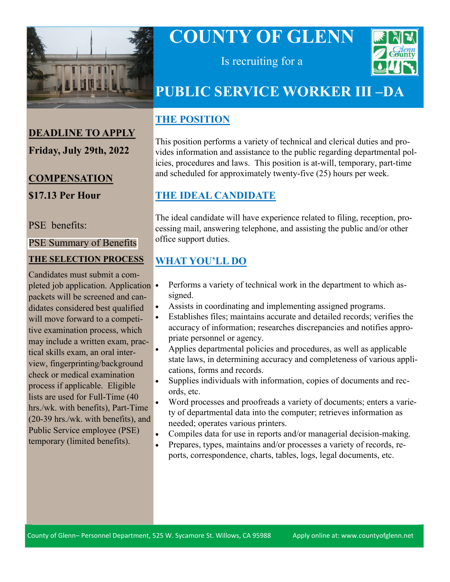

# **COUNTY OF GLENN**



Is recruiting for a

## **PUBLIC SERVICE WORKER III –DA**

## **THE POSITION**

This position performs a variety of technical and clerical duties and provides information and assistance to the public regarding departmental policies, procedures and laws. This position is at-will, temporary, part-time and scheduled for approximately twenty-five (25) hours per week.

## **THE IDEAL CANDIDATE**

The ideal candidate will have experience related to filing, reception, processing mail, answering telephone, and assisting the public and/or other office support duties.

## **WHAT YOU'LL DO**

- Performs a variety of technical work in the department to which assigned.
- Assists in coordinating and implementing assigned programs.
- Establishes files; maintains accurate and detailed records; verifies the accuracy of information; researches discrepancies and notifies appropriate personnel or agency.
- Applies departmental policies and procedures, as well as applicable state laws, in determining accuracy and completeness of various applications, forms and records.
- Supplies individuals with information, copies of documents and records, etc.
- Word processes and proofreads a variety of documents; enters a variety of departmental data into the computer; retrieves information as needed; operates various printers.
- Compiles data for use in reports and/or managerial decision-making.
- Prepares, types, maintains and/or processes a variety of records, reports, correspondence, charts, tables, logs, legal documents, etc.

## **DEADLINE TO APPLY Friday, July 29th, 2022**

## **COMPENSATION \$17.13 Per Hour**

#### PSE benefits:

#### [PSE Summary of Benefits](https://www.countyofglenn.net/sites/default/files/Personnel/MOU/GCPERL%2013-%20PSE.pdf)

#### **THE SELECTION PROCESS**

Candidates must submit a completed job application. Application • packets will be screened and candidates considered best qualified will move forward to a competitive examination process, which may include a written exam, practical skills exam, an oral interview, fingerprinting/background check or medical examination process if applicable. Eligible lists are used for Full-Time (40 hrs./wk. with benefits), Part-Time (20-39 hrs./wk. with benefits), and Public Service employee (PSE) temporary (limited benefits).